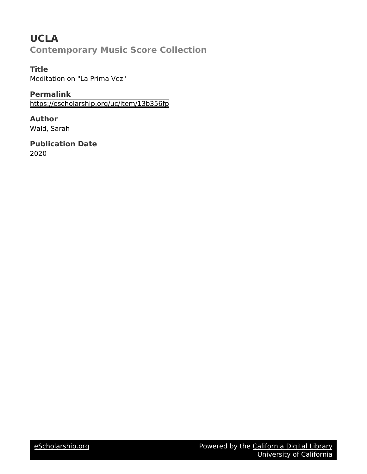#### **UCLA Contemporary Music Score Collection**

**Title** Meditation on "La Prima Vez"

**Permalink** <https://escholarship.org/uc/item/13b356fp>

**Author** Wald, Sarah

**Publication Date** 2020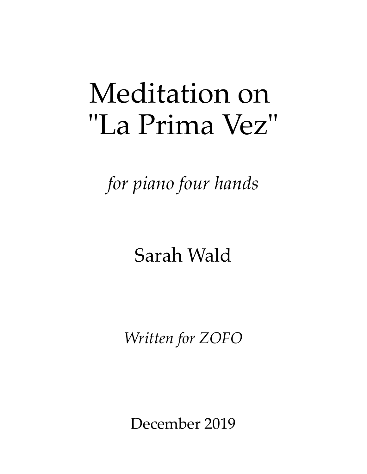# Meditation on "La Prima Vez "

*for piano four hands*

## Sarah Wald

*Written for ZOFO*

December 2019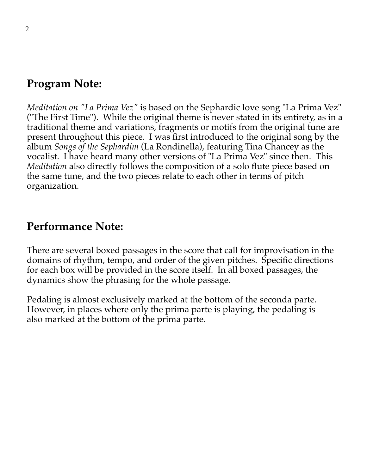#### **Program Note:**

*Meditation on "La Prima Vez"* is based on the Sephardic love song "La Prima Vez" ("The First Time"). While the original theme is never stated in its entirety, as in a traditional theme and variations, fragments or motifs from the original tune are present throughout this piece. I was first introduced to the original song by the album *Songsof the Sephardim* (La Rondinella), featuring Tina Chancey as the vocalist. I have heard many other versions of "La Prima Vez" since then. This *Meditation* also directly follows the composition of a solo flute piece based on the same tune, and the two pieces relate to each other in terms of pitch organization.

#### **Performance Note:**

There are several boxed passages in the score that call for improvisation in the domains of rhythm, tempo, and order of the given pitches. Specific directions for each box will be provided in the score itself. In all boxed passages, the dynamics show the phrasing for the whole passage.

Pedaling is almost exclusively marked at the bottom of the seconda parte. However, in places where only the prima parte is playing, the pedaling is also marked at the bottom of the prima parte.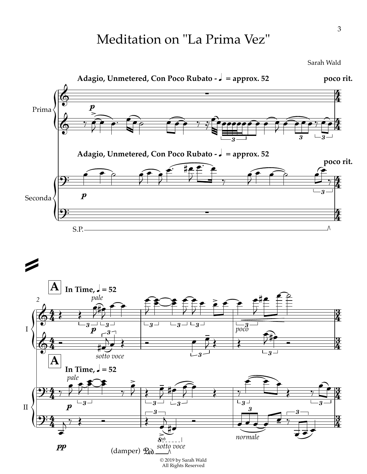### Meditation on "La Prima Vez "

Sarah Wald





\<br>\\\\\\\\\\<br>\#@

 $3\rightarrow$ 

 $\frac{1}{2}$ 

 $\epsilon$ 

 $\frac{1}{2}$ 

 $\overline{D}$   $\overline{D}$   $\overline{D}$ 

*normale*

 $\frac{1}{7}$ 

 $\frac{1}{2}$   $\frac{0}{7}$   $\frac{0}{7}$ 

 $3\rightarrow$ 

 $\leftarrow$ 

 $\overrightarrow{e}$ 

 $\frac{1}{2}$  4

3 3 3 3

 $\overline{\mathcal{O}}$   $\overline{\mathcal{O}}$   $\overline{\mathcal{O}}$   $\overline{\mathcal{O}}$   $\overline{\mathcal{O}}$   $\overline{\mathcal{O}}$ 

 $\left| \begin{array}{cc} \bullet & \bullet \end{array} \right|$ 

3

 $\sqrt{\frac{1}{2}}$ 

 $p$   $-3-$ 

 $\frac{1}{2}$ 

 $77$ 

 $4, 1$  $\frac{4}{4}$   $\frac{4}{4}$   $\frac{4}{4}$ 

 $9:4.7$ 

 $\frac{1}{7}$ 

 $4, 7$  $\frac{4}{4}$   $\rightarrow$   $\frac{2}{6}$ 

 $9:4$ ,  $7$ 

 $\vec{e}$ 

 $\overbrace{\mathcal{S}^{\psi}_{2}$ <br>  $\overbrace{\mathcal{S}^{\psi}_{2}$  by sotto voce

<sup>j</sup> ‰ <sup>Œ</sup> <sup>Ó</sup> <sup>Œ</sup> <sup>œ</sup>

 $\frac{1}{7}$ 

II

 $\frac{3}{2}$  $\frac{3}{4}$ 

 $\frac{3}{2}$  $\frac{3}{4}$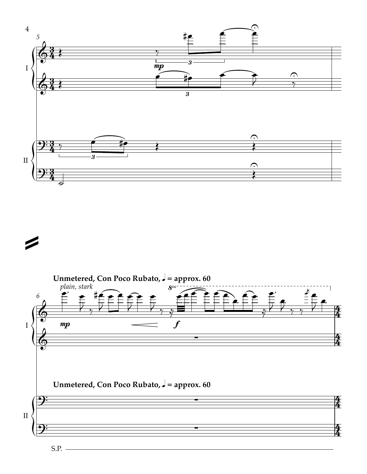



S.P.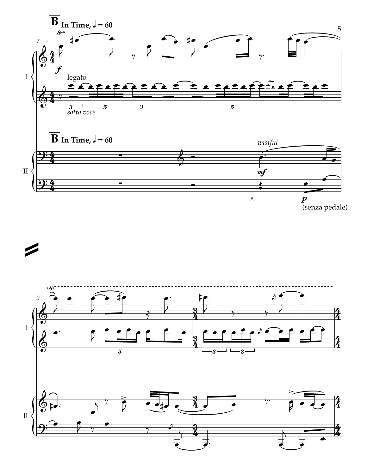



 $\frac{1}{\sqrt{2}}$ 

 $\frac{1}{2}$ 

je<br>Z

 $\frac{3}{4}$ 

œ™ œ

 $\overline{\phantom{0}}$ 

 $\Rightarrow$ 

 $\frac{4}{4}$ 

 $\frac{1}{2}$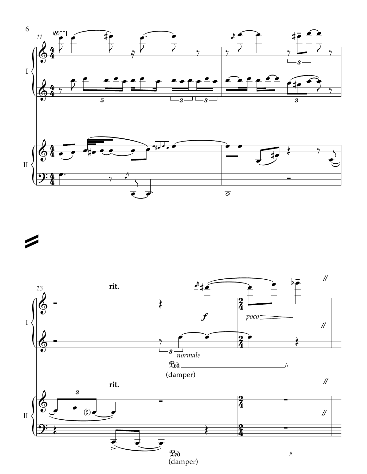



 $\blacktriangleright$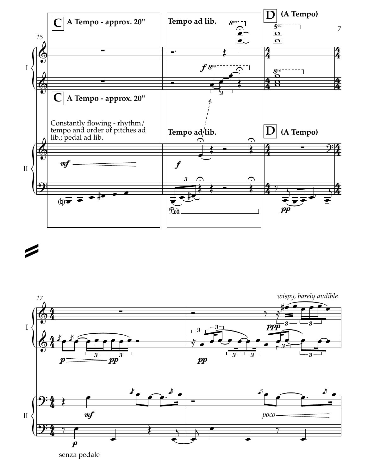



senza pedale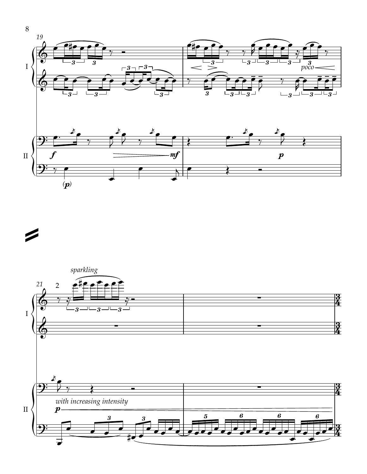

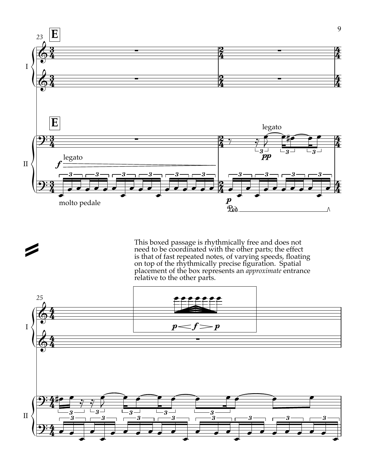

This boxed passage is rhythmically free and does not need to be coordinated with the other parts; the effect is that of fast repeated notes, of varying speeds, floating on top of the rhythmically precise figuration. Spatial placement of the box represents an *approximate* entrance relative to the other parts.



 $\mathbb{Z}$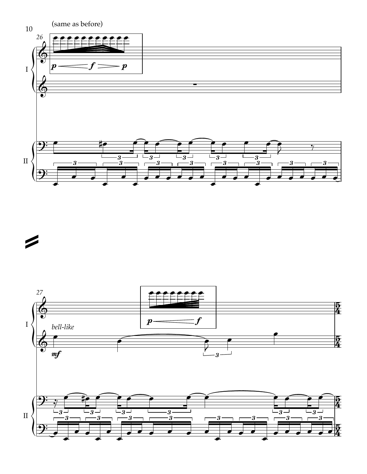

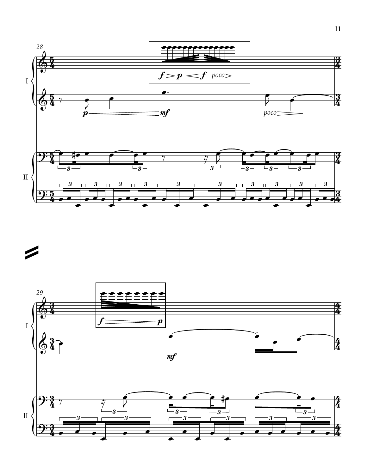



Í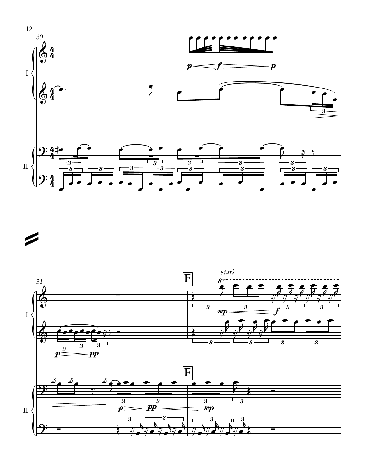

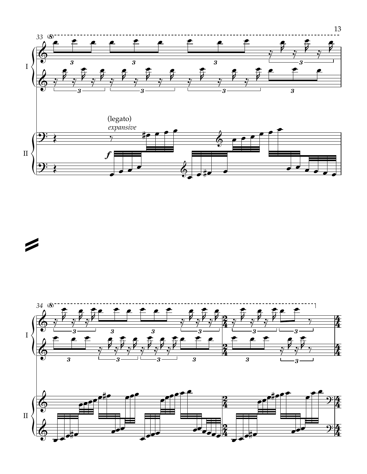

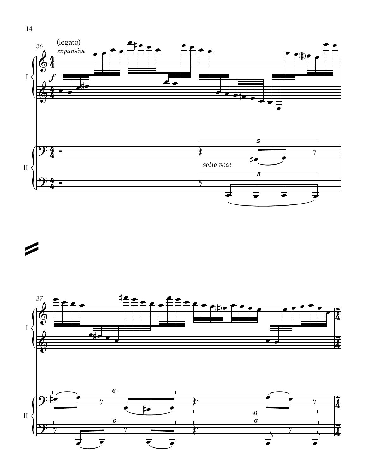

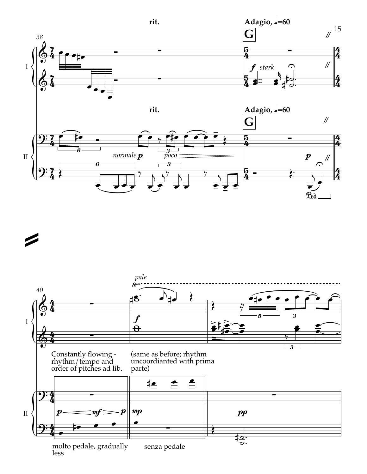

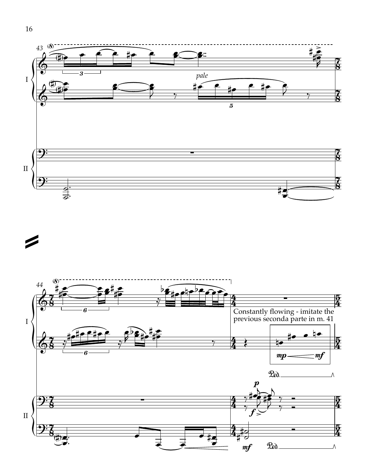



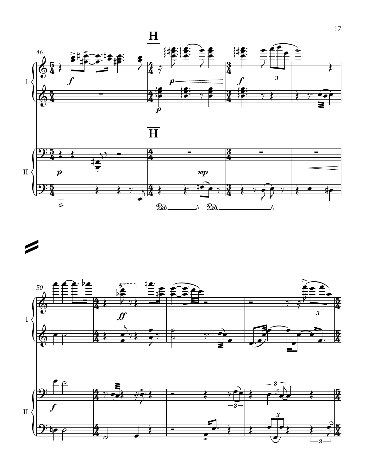



 $\mathbb{Z}$ 

17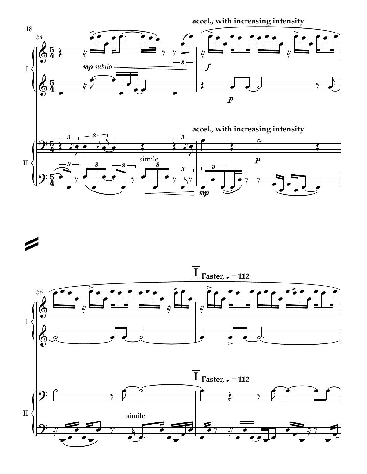

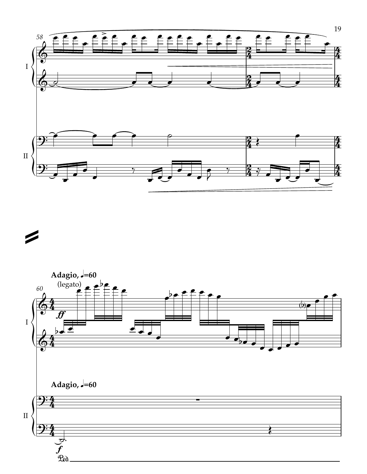



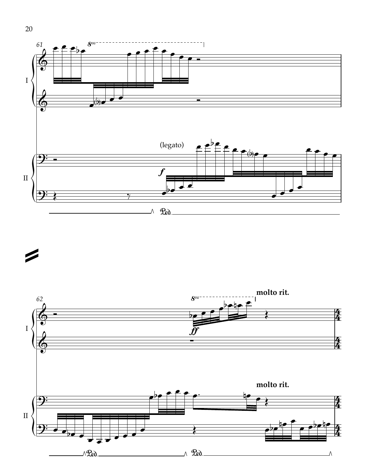



 $\blacktriangleright$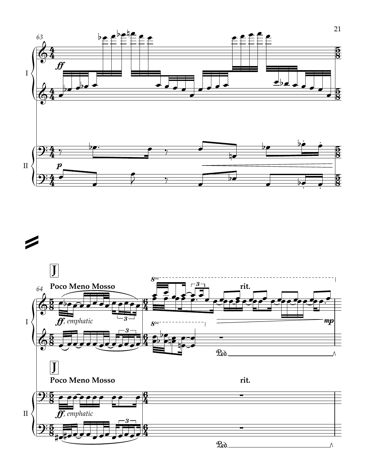

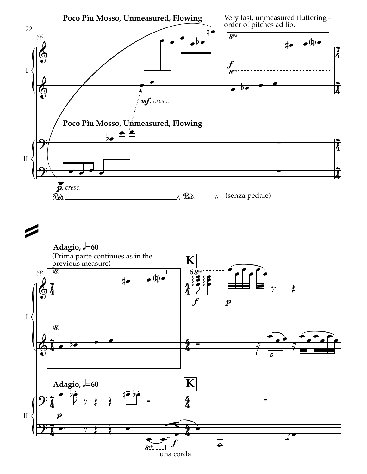

una corda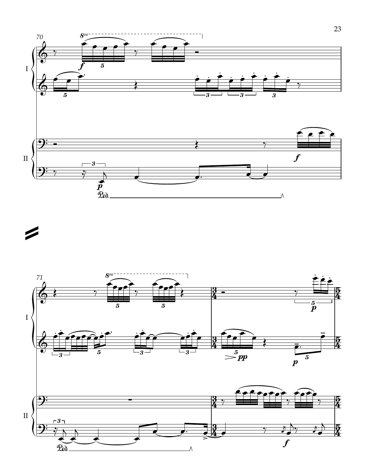



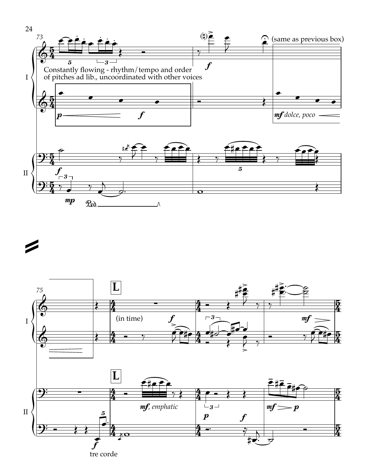

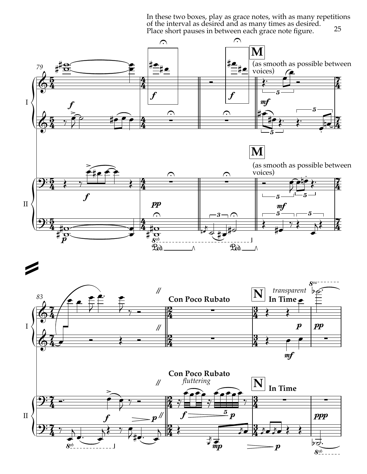